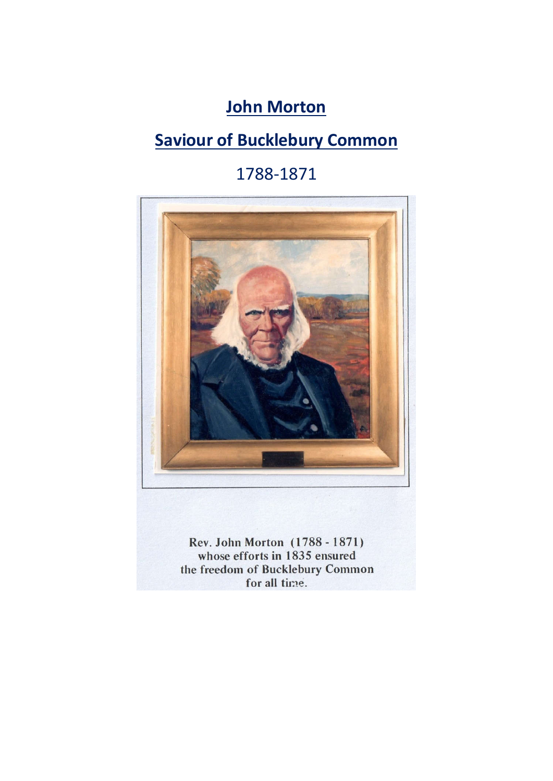# **John Morton**

# **Saviour of Bucklebury Common**

# 1788-1871



Rev. John Morton (1788 - 1871) whose efforts in 1835 ensured the freedom of Bucklebury Common for all time.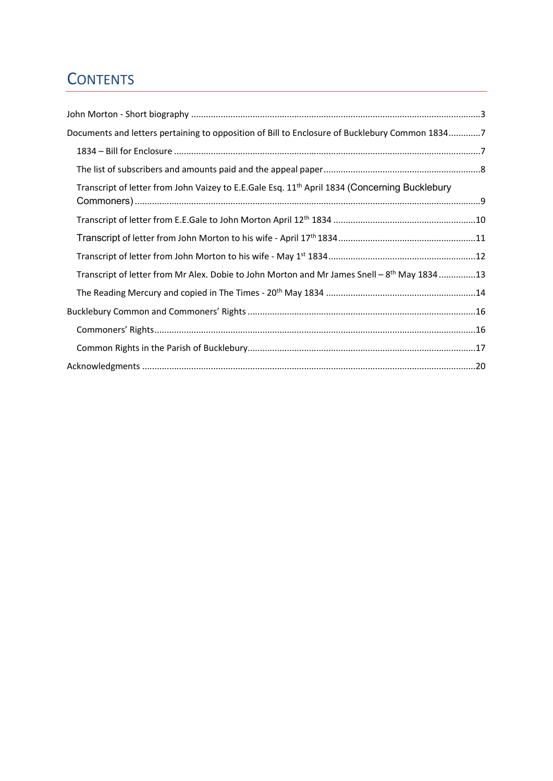# **CONTENTS**

| Documents and letters pertaining to opposition of Bill to Enclosure of Bucklebury Common 18347            |  |
|-----------------------------------------------------------------------------------------------------------|--|
|                                                                                                           |  |
|                                                                                                           |  |
| Transcript of letter from John Vaizey to E.E.Gale Esq. 11 <sup>th</sup> April 1834 (Concerning Bucklebury |  |
|                                                                                                           |  |
|                                                                                                           |  |
|                                                                                                           |  |
| Transcript of letter from Mr Alex. Dobie to John Morton and Mr James Snell – 8 <sup>th</sup> May 183413   |  |
|                                                                                                           |  |
|                                                                                                           |  |
|                                                                                                           |  |
|                                                                                                           |  |
|                                                                                                           |  |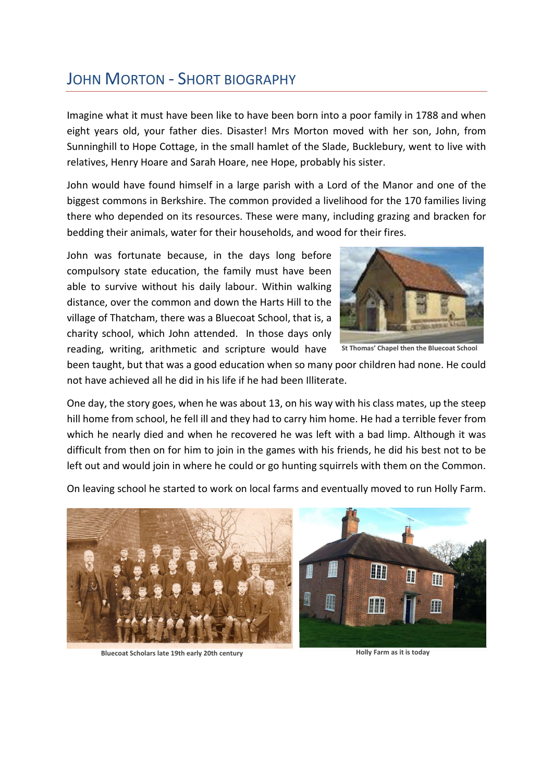## JOHN MORTON - SHORT BIOGRAPHY

Imagine what it must have been like to have been born into a poor family in 1788 and when eight years old, your father dies. Disaster! Mrs Morton moved with her son, John, from Sunninghill to Hope Cottage, in the small hamlet of the Slade, Bucklebury, went to live with relatives, Henry Hoare and Sarah Hoare, nee Hope, probably his sister.

John would have found himself in a large parish with a Lord of the Manor and one of the biggest commons in Berkshire. The common provided a livelihood for the 170 families living there who depended on its resources. These were many, including grazing and bracken for bedding their animals, water for their households, and wood for their fires.

John was fortunate because, in the days long before compulsory state education, the family must have been able to survive without his daily labour. Within walking distance, over the common and down the Harts Hill to the village of Thatcham, there was a Bluecoat School, that is, a charity school, which John attended. In those days only reading, writing, arithmetic and scripture would have



**St Thomas' Chapel then the Bluecoat School**

been taught, but that was a good education when so many poor children had none. He could not have achieved all he did in his life if he had been Illiterate.

One day, the story goes, when he was about 13, on his way with his class mates, up the steep hill home from school, he fell ill and they had to carry him home. He had a terrible fever from which he nearly died and when he recovered he was left with a bad limp. Although it was difficult from then on for him to join in the games with his friends, he did his best not to be left out and would join in where he could or go hunting squirrels with them on the Common.

On leaving school he started to work on local farms and eventually moved to run Holly Farm.



**Bluecoat Scholars late 19th early 20th century Holly Farm as it is today**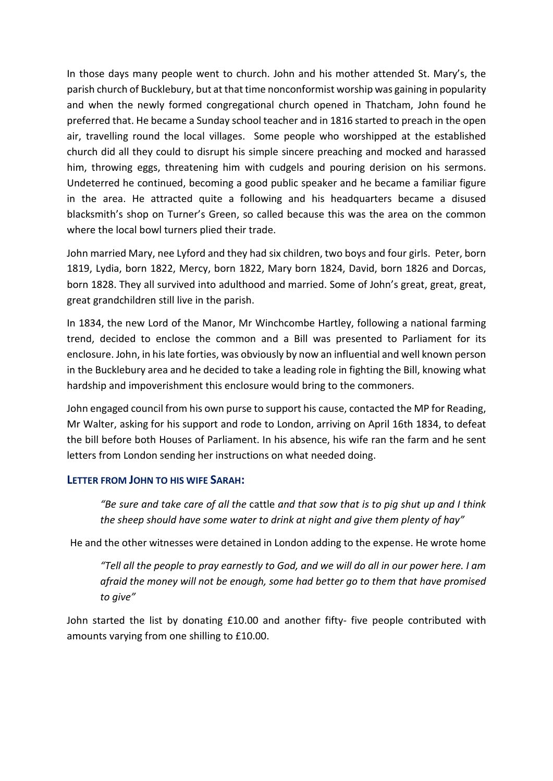In those days many people went to church. John and his mother attended St. Mary's, the parish church of Bucklebury, but at that time nonconformist worship was gaining in popularity and when the newly formed congregational church opened in Thatcham, John found he preferred that. He became a Sunday school teacher and in 1816 started to preach in the open air, travelling round the local villages. Some people who worshipped at the established church did all they could to disrupt his simple sincere preaching and mocked and harassed him, throwing eggs, threatening him with cudgels and pouring derision on his sermons. Undeterred he continued, becoming a good public speaker and he became a familiar figure in the area. He attracted quite a following and his headquarters became a disused blacksmith's shop on Turner's Green, so called because this was the area on the common where the local bowl turners plied their trade.

John married Mary, nee Lyford and they had six children, two boys and four girls. Peter, born 1819, Lydia, born 1822, Mercy, born 1822, Mary born 1824, David, born 1826 and Dorcas, born 1828. They all survived into adulthood and married. Some of John's great, great, great, great grandchildren still live in the parish.

In 1834, the new Lord of the Manor, Mr Winchcombe Hartley, following a national farming trend, decided to enclose the common and a Bill was presented to Parliament for its enclosure. John, in his late forties, was obviously by now an influential and well known person in the Bucklebury area and he decided to take a leading role in fighting the Bill, knowing what hardship and impoverishment this enclosure would bring to the commoners.

John engaged council from his own purse to support his cause, contacted the MP for Reading, Mr Walter, asking for his support and rode to London, arriving on April 16th 1834, to defeat the bill before both Houses of Parliament. In his absence, his wife ran the farm and he sent letters from London sending her instructions on what needed doing.

#### **LETTER FROM JOHN TO HIS WIFE SARAH:**

*"Be sure and take care of all the* cattle *and that sow that is to pig shut up and I think the sheep should have some water to drink at night and give them plenty of hay"*

He and the other witnesses were detained in London adding to the expense. He wrote home

*"Tell all the people to pray earnestly to God, and we will do all in our power here. I am afraid the money will not be enough, some had better go to them that have promised to give"*

John started the list by donating £10.00 and another fifty- five people contributed with amounts varying from one shilling to £10.00.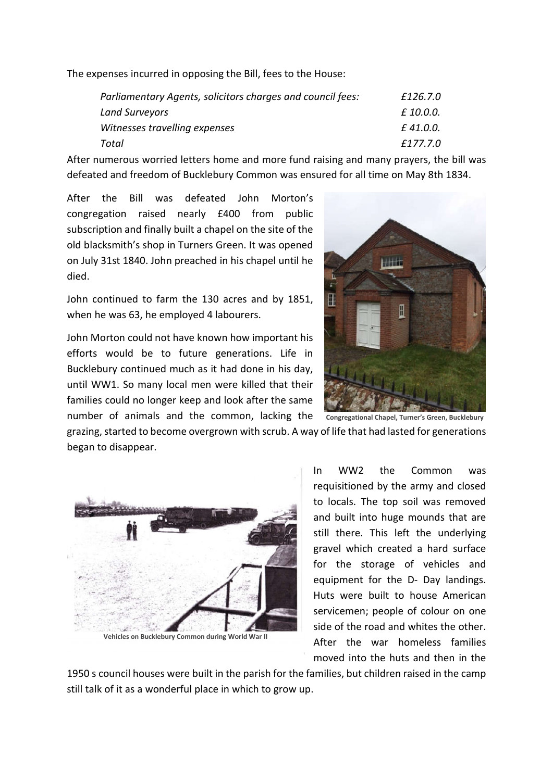The expenses incurred in opposing the Bill, fees to the House:

| Parliamentary Agents, solicitors charges and council fees: | £126.7.0  |
|------------------------------------------------------------|-----------|
| <b>Land Surveyors</b>                                      | £ 10.0.0. |
| Witnesses travelling expenses                              | £41.0.0.  |
| Total                                                      | £177.7.0  |

After numerous worried letters home and more fund raising and many prayers, the bill was defeated and freedom of Bucklebury Common was ensured for all time on May 8th 1834.

After the Bill was defeated John Morton's congregation raised nearly £400 from public subscription and finally built a chapel on the site of the old blacksmith's shop in Turners Green. It was opened on July 31st 1840. John preached in his chapel until he died.

John continued to farm the 130 acres and by 1851, when he was 63, he employed 4 labourers.

John Morton could not have known how important his efforts would be to future generations. Life in Bucklebury continued much as it had done in his day, until WW1. So many local men were killed that their families could no longer keep and look after the same number of animals and the common, lacking the



grazing, started to become overgrown with scrub. A way of life that had lasted for generations began to disappear.



**Vehicles on Bucklebury Common during World War II**

In WW2 the Common was requisitioned by the army and closed to locals. The top soil was removed and built into huge mounds that are still there. This left the underlying gravel which created a hard surface for the storage of vehicles and equipment for the D- Day landings. Huts were built to house American servicemen; people of colour on one side of the road and whites the other. After the war homeless families moved into the huts and then in the

1950 s council houses were built in the parish for the families, but children raised in the camp still talk of it as a wonderful place in which to grow up.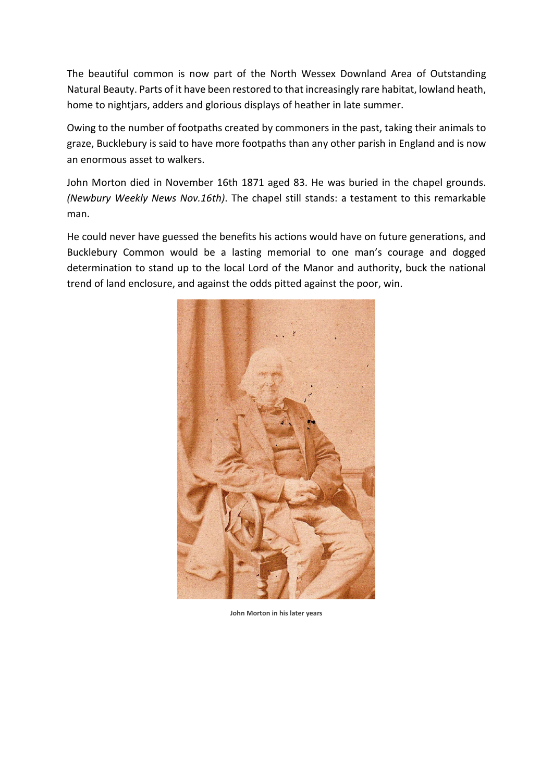The beautiful common is now part of the North Wessex Downland Area of Outstanding Natural Beauty. Parts of it have been restored to that increasingly rare habitat, lowland heath, home to nightjars, adders and glorious displays of heather in late summer.

Owing to the number of footpaths created by commoners in the past, taking their animals to graze, Bucklebury is said to have more footpaths than any other parish in England and is now an enormous asset to walkers.

John Morton died in November 16th 1871 aged 83. He was buried in the chapel grounds. *(Newbury Weekly News Nov.16th)*. The chapel still stands: a testament to this remarkable man.

He could never have guessed the benefits his actions would have on future generations, and Bucklebury Common would be a lasting memorial to one man's courage and dogged determination to stand up to the local Lord of the Manor and authority, buck the national trend of land enclosure, and against the odds pitted against the poor, win.



**John Morton in his later years**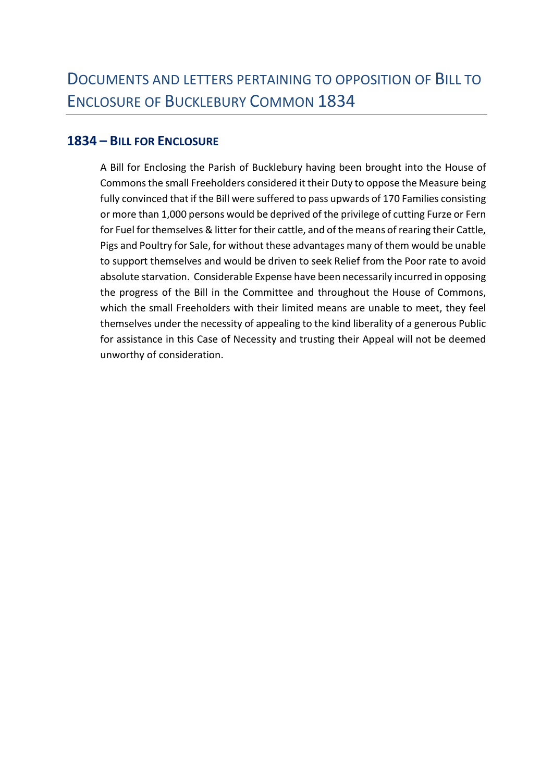## **1834 – BILL FOR ENCLOSURE**

A Bill for Enclosing the Parish of Bucklebury having been brought into the House of Commons the small Freeholders considered it their Duty to oppose the Measure being fully convinced that if the Bill were suffered to pass upwards of 170 Families consisting or more than 1,000 persons would be deprived of the privilege of cutting Furze or Fern for Fuel for themselves & litter for their cattle, and of the means of rearing their Cattle, Pigs and Poultry for Sale, for without these advantages many of them would be unable to support themselves and would be driven to seek Relief from the Poor rate to avoid absolute starvation. Considerable Expense have been necessarily incurred in opposing the progress of the Bill in the Committee and throughout the House of Commons, which the small Freeholders with their limited means are unable to meet, they feel themselves under the necessity of appealing to the kind liberality of a generous Public for assistance in this Case of Necessity and trusting their Appeal will not be deemed unworthy of consideration.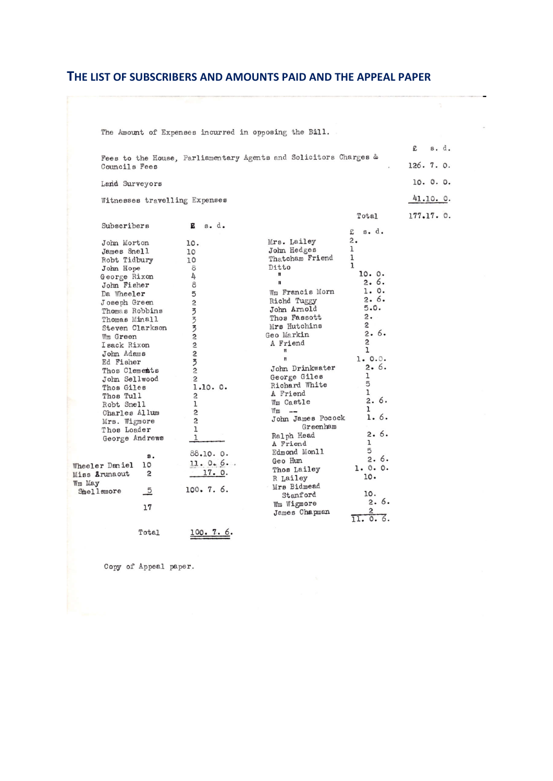#### **THE LIST OF SUBSCRIBERS AND AMOUNTS PAID AND THE APPEAL PAPER**

|        |                                          |                         |               | The Amount of Expenses incurred in opposing the Bill.            |                  |            |  |
|--------|------------------------------------------|-------------------------|---------------|------------------------------------------------------------------|------------------|------------|--|
|        |                                          |                         |               | Fees to the House, Parliamentary Agents and Solicitors Charges & |                  | £<br>s. d. |  |
|        | Councils Fees                            |                         |               |                                                                  |                  | 126.7.0.   |  |
|        | Land Surveyors                           |                         |               |                                                                  |                  | 10. 0. 0.  |  |
|        | Witnesses travelling Expenses            |                         |               |                                                                  |                  | 41.10. 0.  |  |
|        |                                          |                         |               |                                                                  | Total            | 177.17.0.  |  |
|        | Subscribers                              | в                       | $s \cdot d$ . |                                                                  | $s$ . $d$ .<br>£ |            |  |
|        | John Morton                              | 10.                     |               | Mrs. Lailey                                                      | 2.               |            |  |
|        | James Snell                              | 10                      |               | John Hedges                                                      | ı                |            |  |
|        | Robt Tidbury                             | 10                      |               | Thatcham Friend                                                  | 1                |            |  |
|        | John Hope                                | 8                       |               | Ditto                                                            | 1                |            |  |
|        | George Rixon                             | 4                       |               | Ħ                                                                | 10. 0.           |            |  |
|        | John Fisher                              | 8                       |               | $\mathbf{u}$                                                     | 2.6.             |            |  |
|        | Da Wheeler                               | 5                       |               | Wm Francis Morn                                                  | 1. 0.            |            |  |
|        | Joseph Green                             | $\overline{\mathbf{c}}$ |               | Richd Tuggy                                                      | 2.6.             |            |  |
|        | Thomas Robbins                           |                         |               | John Arnold                                                      | 5.0.             |            |  |
|        | Thomas Minall                            |                         |               | Thos Fassott                                                     | 2.               |            |  |
|        | Steven Clarkson                          | ろろろこ                    |               | Mrs Hutchins                                                     | $\overline{c}$   |            |  |
|        | Wm Green                                 |                         |               | Geo Markin                                                       | 2.6.             |            |  |
|        | I sack Rixon                             | $\overline{c}$          |               | A Friend                                                         | $\overline{2}$   |            |  |
|        | John Adams                               | $\overline{\mathbf{c}}$ |               | Ħ                                                                | ı                |            |  |
|        | Ed Fisher                                | $\overline{5}$          |               | Ħ                                                                | 1.0.0.           |            |  |
|        | Thos Clements                            | $\overline{c}$          |               | John Drinkwater                                                  | 2.6.             |            |  |
|        | John Sellwood                            | $\overline{c}$          |               | George Giles                                                     | ı<br>5           |            |  |
|        | Thos Giles                               |                         | 1.10.0.       | Richard White                                                    | 1                |            |  |
|        | Thos Tull                                | $\overline{c}$          |               | A Friend                                                         | 2.6.             |            |  |
|        | Robt Snell                               | 1                       |               | Wm Castle                                                        | ı                |            |  |
|        | Charles Allum                            | S,                      |               | $Wm$ $---$<br>John James Pocock                                  | 1.6.             |            |  |
|        | Mrs. Wigmore                             | $\overline{c}$          |               | Greenham                                                         |                  |            |  |
|        | Thos Loader                              | $\mathbf{1}$            |               | Ralph Head                                                       | 2.6.             |            |  |
|        | George Andrews                           | 1                       |               | A Friend                                                         | ı                |            |  |
|        |                                          |                         | 88.10.0.      | Edmond Monll                                                     | 5                |            |  |
|        | $s$ .                                    |                         | 11.0.6        | Geo Hun                                                          | 2.6.             |            |  |
|        | 10<br>Wheeler Daniel                     |                         |               | Thos Lailey                                                      | 1.0.0.           |            |  |
|        | 2<br>Miss Arunaout                       |                         | 17.0.         | R Lailey                                                         | 10.              |            |  |
| Wm May |                                          |                         | 100.7.6.      | Mrs Bidmead                                                      |                  |            |  |
|        | $\overline{\phantom{0}}^5$<br>Shellsmore |                         |               | Stanford                                                         | 10.              |            |  |
|        | 17                                       |                         |               | Wm Wigmore                                                       | 2.6.             |            |  |
|        |                                          |                         |               | James Chapman                                                    | 2                |            |  |
|        |                                          |                         |               |                                                                  | 0.6.<br>11.      |            |  |
|        | Total                                    |                         | 100.7.6.      |                                                                  |                  |            |  |

Copy of Appeal paper.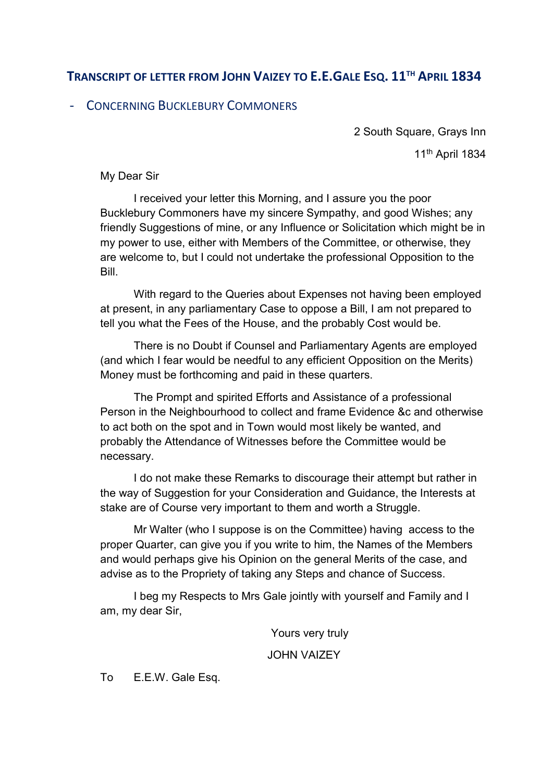## **TRANSCRIPT OF LETTER FROM JOHN VAIZEY TO E.E.GALE ESQ. 11TH APRIL 1834**

## - CONCERNING BUCKLEBURY COMMONERS

2 South Square, Grays Inn 11th April 1834

My Dear Sir

I received your letter this Morning, and I assure you the poor Bucklebury Commoners have my sincere Sympathy, and good Wishes; any friendly Suggestions of mine, or any Influence or Solicitation which might be in my power to use, either with Members of the Committee, or otherwise, they are welcome to, but I could not undertake the professional Opposition to the Bill.

With regard to the Queries about Expenses not having been employed at present, in any parliamentary Case to oppose a Bill, I am not prepared to tell you what the Fees of the House, and the probably Cost would be.

There is no Doubt if Counsel and Parliamentary Agents are employed (and which I fear would be needful to any efficient Opposition on the Merits) Money must be forthcoming and paid in these quarters.

The Prompt and spirited Efforts and Assistance of a professional Person in the Neighbourhood to collect and frame Evidence &c and otherwise to act both on the spot and in Town would most likely be wanted, and probably the Attendance of Witnesses before the Committee would be necessary.

I do not make these Remarks to discourage their attempt but rather in the way of Suggestion for your Consideration and Guidance, the Interests at stake are of Course very important to them and worth a Struggle.

Mr Walter (who I suppose is on the Committee) having access to the proper Quarter, can give you if you write to him, the Names of the Members and would perhaps give his Opinion on the general Merits of the case, and advise as to the Propriety of taking any Steps and chance of Success.

I beg my Respects to Mrs Gale jointly with yourself and Family and I am, my dear Sir,

Yours very truly

JOHN VAIZEY

To E.E.W. Gale Esq.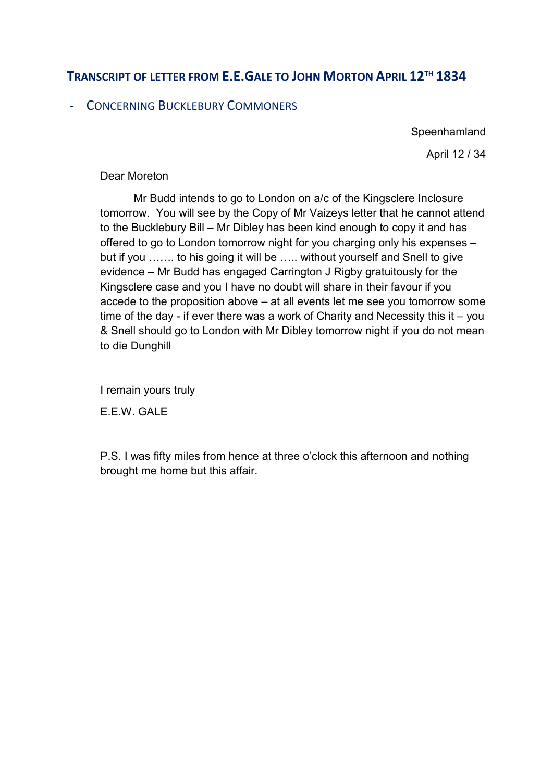## **TRANSCRIPT OF LETTER FROM E.E.GALE TO JOHN MORTON APRIL 12TH 1834**

## - CONCERNING BUCKLEBURY COMMONERS

**Speenhamland** 

April 12 / 34

#### Dear Moreton

Mr Budd intends to go to London on a/c of the Kingsclere Inclosure tomorrow. You will see by the Copy of Mr Vaizeys letter that he cannot attend to the Bucklebury Bill – Mr Dibley has been kind enough to copy it and has offered to go to London tomorrow night for you charging only his expenses – but if you ……. to his going it will be ….. without yourself and Snell to give evidence – Mr Budd has engaged Carrington J Rigby gratuitously for the Kingsclere case and you I have no doubt will share in their favour if you accede to the proposition above – at all events let me see you tomorrow some time of the day - if ever there was a work of Charity and Necessity this it – you & Snell should go to London with Mr Dibley tomorrow night if you do not mean to die Dunghill

I remain yours truly

E.E.W. GALE

P.S. I was fifty miles from hence at three o'clock this afternoon and nothing brought me home but this affair.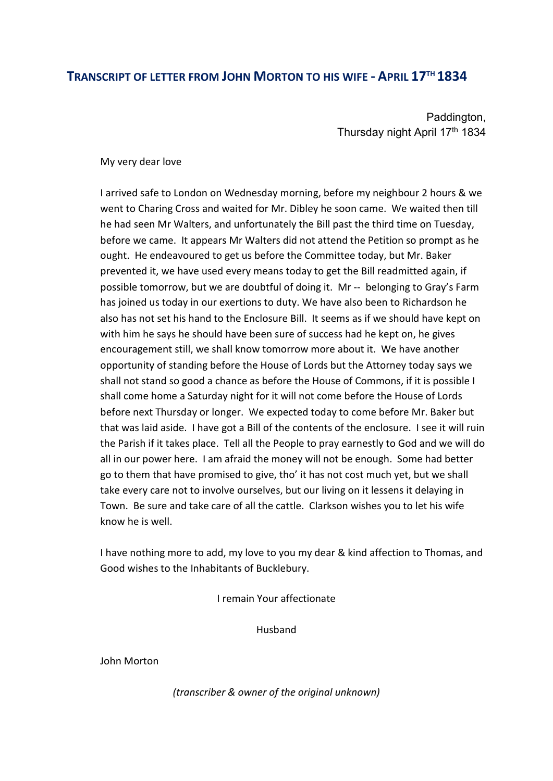#### **TRANSCRIPT OF LETTER FROM JOHN MORTON TO HIS WIFE - APRIL 17TH 1834**

Paddington, Thursday night April 17<sup>th</sup> 1834

My very dear love

I arrived safe to London on Wednesday morning, before my neighbour 2 hours & we went to Charing Cross and waited for Mr. Dibley he soon came. We waited then till he had seen Mr Walters, and unfortunately the Bill past the third time on Tuesday, before we came. It appears Mr Walters did not attend the Petition so prompt as he ought. He endeavoured to get us before the Committee today, but Mr. Baker prevented it, we have used every means today to get the Bill readmitted again, if possible tomorrow, but we are doubtful of doing it. Mr -- belonging to Gray's Farm has joined us today in our exertions to duty. We have also been to Richardson he also has not set his hand to the Enclosure Bill. It seems as if we should have kept on with him he says he should have been sure of success had he kept on, he gives encouragement still, we shall know tomorrow more about it. We have another opportunity of standing before the House of Lords but the Attorney today says we shall not stand so good a chance as before the House of Commons, if it is possible I shall come home a Saturday night for it will not come before the House of Lords before next Thursday or longer. We expected today to come before Mr. Baker but that was laid aside. I have got a Bill of the contents of the enclosure. I see it will ruin the Parish if it takes place. Tell all the People to pray earnestly to God and we will do all in our power here. I am afraid the money will not be enough. Some had better go to them that have promised to give, tho' it has not cost much yet, but we shall take every care not to involve ourselves, but our living on it lessens it delaying in Town. Be sure and take care of all the cattle. Clarkson wishes you to let his wife know he is well.

I have nothing more to add, my love to you my dear & kind affection to Thomas, and Good wishes to the Inhabitants of Bucklebury.

I remain Your affectionate

Husband

John Morton

*(transcriber & owner of the original unknown)*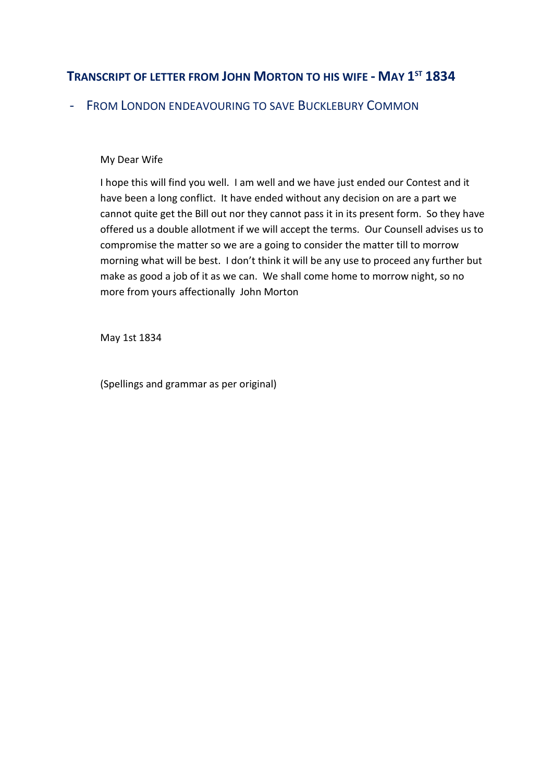## **TRANSCRIPT OF LETTER FROM JOHN MORTON TO HIS WIFE - MAY 1ST 1834**

- FROM LONDON ENDEAVOURING TO SAVE BUCKLEBURY COMMON

#### My Dear Wife

I hope this will find you well. I am well and we have just ended our Contest and it have been a long conflict. It have ended without any decision on are a part we cannot quite get the Bill out nor they cannot pass it in its present form. So they have offered us a double allotment if we will accept the terms. Our Counsell advises us to compromise the matter so we are a going to consider the matter till to morrow morning what will be best. I don't think it will be any use to proceed any further but make as good a job of it as we can. We shall come home to morrow night, so no more from yours affectionally John Morton

May 1st 1834

(Spellings and grammar as per original)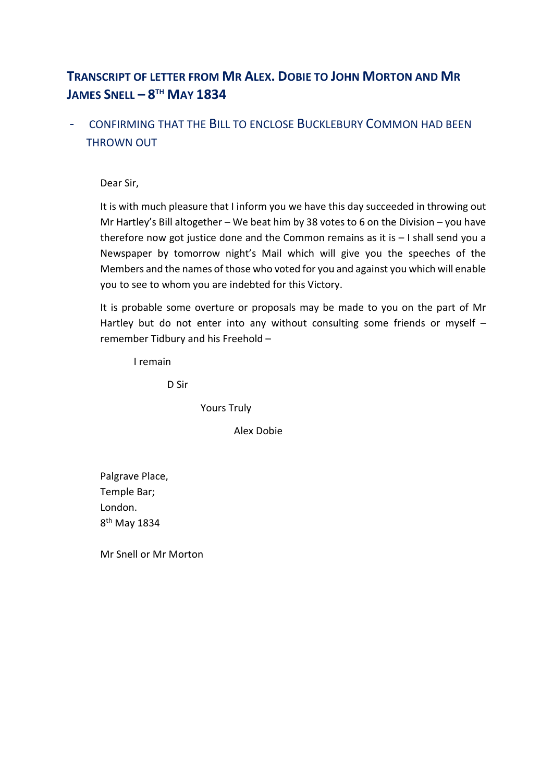## **TRANSCRIPT OF LETTER FROM MR ALEX. DOBIE TO JOHN MORTON AND MR JAMES SNELL – 8TH MAY 1834**

## - CONFIRMING THAT THE BILL TO ENCLOSE BUCKLEBURY COMMON HAD BEEN THROWN OUT

Dear Sir,

It is with much pleasure that I inform you we have this day succeeded in throwing out Mr Hartley's Bill altogether – We beat him by 38 votes to 6 on the Division – you have therefore now got justice done and the Common remains as it is – I shall send you a Newspaper by tomorrow night's Mail which will give you the speeches of the Members and the names of those who voted for you and against you which will enable you to see to whom you are indebted for this Victory.

It is probable some overture or proposals may be made to you on the part of Mr Hartley but do not enter into any without consulting some friends or myself remember Tidbury and his Freehold –

I remain

D Sir

Yours Truly

Alex Dobie

Palgrave Place, Temple Bar; London. 8th May 1834

Mr Snell or Mr Morton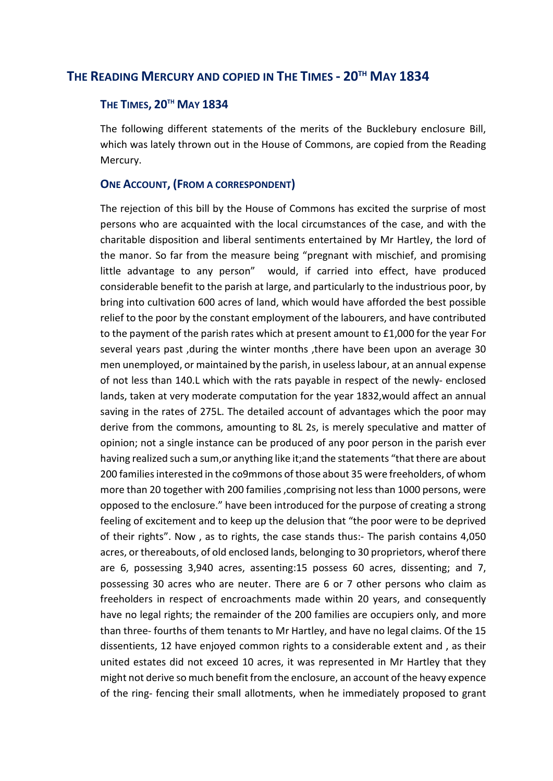#### **THE READING MERCURY AND COPIED IN THE TIMES - 20TH MAY 1834**

#### **THE TIMES, 20TH MAY 1834**

The following different statements of the merits of the Bucklebury enclosure Bill, which was lately thrown out in the House of Commons, are copied from the Reading Mercury.

#### **ONE ACCOUNT, (FROM A CORRESPONDENT)**

The rejection of this bill by the House of Commons has excited the surprise of most persons who are acquainted with the local circumstances of the case, and with the charitable disposition and liberal sentiments entertained by Mr Hartley, the lord of the manor. So far from the measure being "pregnant with mischief, and promising little advantage to any person" would, if carried into effect, have produced considerable benefit to the parish at large, and particularly to the industrious poor, by bring into cultivation 600 acres of land, which would have afforded the best possible relief to the poor by the constant employment of the labourers, and have contributed to the payment of the parish rates which at present amount to £1,000 for the year For several years past ,during the winter months ,there have been upon an average 30 men unemployed, or maintained by the parish, in useless labour, at an annual expense of not less than 140.L which with the rats payable in respect of the newly- enclosed lands, taken at very moderate computation for the year 1832,would affect an annual saving in the rates of 275L. The detailed account of advantages which the poor may derive from the commons, amounting to 8L 2s, is merely speculative and matter of opinion; not a single instance can be produced of any poor person in the parish ever having realized such a sum,or anything like it;and the statements "that there are about 200 families interested in the co9mmons of those about 35 were freeholders, of whom more than 20 together with 200 families ,comprising not less than 1000 persons, were opposed to the enclosure." have been introduced for the purpose of creating a strong feeling of excitement and to keep up the delusion that "the poor were to be deprived of their rights". Now , as to rights, the case stands thus:- The parish contains 4,050 acres, or thereabouts, of old enclosed lands, belonging to 30 proprietors, wherof there are 6, possessing 3,940 acres, assenting:15 possess 60 acres, dissenting; and 7, possessing 30 acres who are neuter. There are 6 or 7 other persons who claim as freeholders in respect of encroachments made within 20 years, and consequently have no legal rights; the remainder of the 200 families are occupiers only, and more than three- fourths of them tenants to Mr Hartley, and have no legal claims. Of the 15 dissentients, 12 have enjoyed common rights to a considerable extent and , as their united estates did not exceed 10 acres, it was represented in Mr Hartley that they might not derive so much benefit from the enclosure, an account of the heavy expence of the ring- fencing their small allotments, when he immediately proposed to grant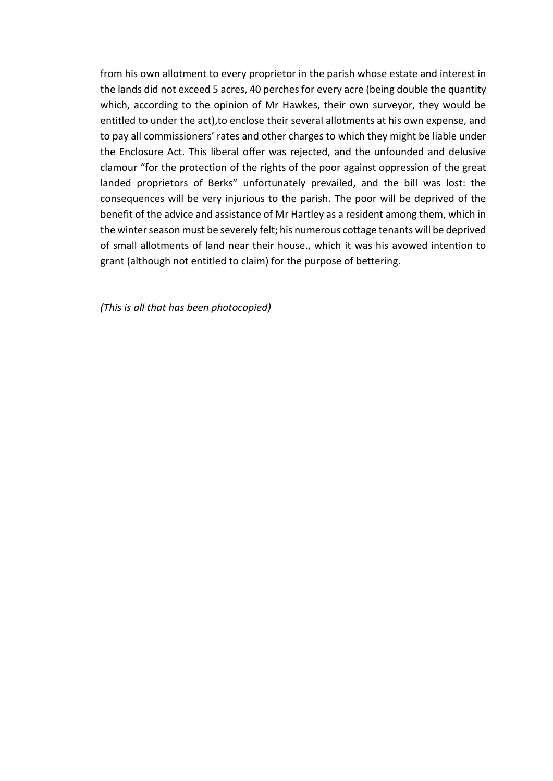from his own allotment to every proprietor in the parish whose estate and interest in the lands did not exceed 5 acres, 40 perches for every acre (being double the quantity which, according to the opinion of Mr Hawkes, their own surveyor, they would be entitled to under the act),to enclose their several allotments at his own expense, and to pay all commissioners' rates and other charges to which they might be liable under the Enclosure Act. This liberal offer was rejected, and the unfounded and delusive clamour "for the protection of the rights of the poor against oppression of the great landed proprietors of Berks" unfortunately prevailed, and the bill was lost: the consequences will be very injurious to the parish. The poor will be deprived of the benefit of the advice and assistance of Mr Hartley as a resident among them, which in the winter season must be severely felt; his numerous cottage tenants will be deprived of small allotments of land near their house., which it was his avowed intention to grant (although not entitled to claim) for the purpose of bettering.

*(This is all that has been photocopied)*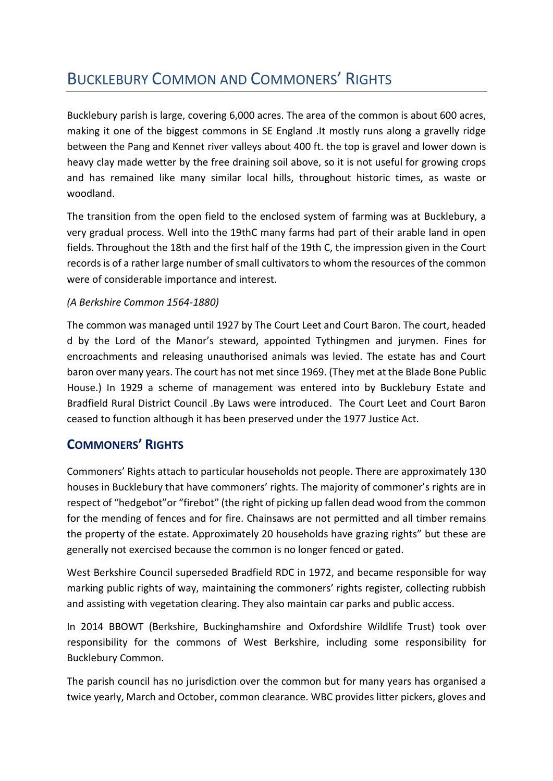# BUCKLEBURY COMMON AND COMMONERS' RIGHTS

Bucklebury parish is large, covering 6,000 acres. The area of the common is about 600 acres, making it one of the biggest commons in SE England .It mostly runs along a gravelly ridge between the Pang and Kennet river valleys about 400 ft. the top is gravel and lower down is heavy clay made wetter by the free draining soil above, so it is not useful for growing crops and has remained like many similar local hills, throughout historic times, as waste or woodland.

The transition from the open field to the enclosed system of farming was at Bucklebury, a very gradual process. Well into the 19thC many farms had part of their arable land in open fields. Throughout the 18th and the first half of the 19th C, the impression given in the Court records is of a rather large number of small cultivators to whom the resources of the common were of considerable importance and interest.

#### *(A Berkshire Common 1564-1880)*

The common was managed until 1927 by The Court Leet and Court Baron. The court, headed d by the Lord of the Manor's steward, appointed Tythingmen and jurymen. Fines for encroachments and releasing unauthorised animals was levied. The estate has and Court baron over many years. The court has not met since 1969. (They met at the Blade Bone Public House.) In 1929 a scheme of management was entered into by Bucklebury Estate and Bradfield Rural District Council .By Laws were introduced. The Court Leet and Court Baron ceased to function although it has been preserved under the 1977 Justice Act.

## **COMMONERS' RIGHTS**

Commoners' Rights attach to particular households not people. There are approximately 130 houses in Bucklebury that have commoners' rights. The majority of commoner's rights are in respect of "hedgebot"or "firebot" (the right of picking up fallen dead wood from the common for the mending of fences and for fire. Chainsaws are not permitted and all timber remains the property of the estate. Approximately 20 households have grazing rights" but these are generally not exercised because the common is no longer fenced or gated.

West Berkshire Council superseded Bradfield RDC in 1972, and became responsible for way marking public rights of way, maintaining the commoners' rights register, collecting rubbish and assisting with vegetation clearing. They also maintain car parks and public access.

In 2014 BBOWT (Berkshire, Buckinghamshire and Oxfordshire Wildlife Trust) took over responsibility for the commons of West Berkshire, including some responsibility for Bucklebury Common.

The parish council has no jurisdiction over the common but for many years has organised a twice yearly, March and October, common clearance. WBC provides litter pickers, gloves and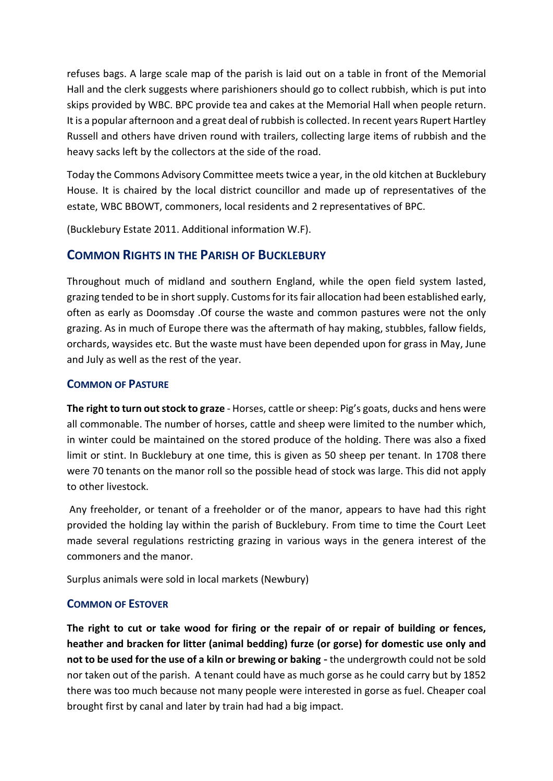refuses bags. A large scale map of the parish is laid out on a table in front of the Memorial Hall and the clerk suggests where parishioners should go to collect rubbish, which is put into skips provided by WBC. BPC provide tea and cakes at the Memorial Hall when people return. It is a popular afternoon and a great deal of rubbish is collected. In recent years Rupert Hartley Russell and others have driven round with trailers, collecting large items of rubbish and the heavy sacks left by the collectors at the side of the road.

Today the Commons Advisory Committee meets twice a year, in the old kitchen at Bucklebury House. It is chaired by the local district councillor and made up of representatives of the estate, WBC BBOWT, commoners, local residents and 2 representatives of BPC.

(Bucklebury Estate 2011. Additional information W.F).

### **COMMON RIGHTS IN THE PARISH OF BUCKLEBURY**

Throughout much of midland and southern England, while the open field system lasted, grazing tended to be in short supply. Customs for its fair allocation had been established early, often as early as Doomsday .Of course the waste and common pastures were not the only grazing. As in much of Europe there was the aftermath of hay making, stubbles, fallow fields, orchards, waysides etc. But the waste must have been depended upon for grass in May, June and July as well as the rest of the year.

#### **COMMON OF PASTURE**

**The right to turn out stock to graze** - Horses, cattle or sheep: Pig's goats, ducks and hens were all commonable. The number of horses, cattle and sheep were limited to the number which, in winter could be maintained on the stored produce of the holding. There was also a fixed limit or stint. In Bucklebury at one time, this is given as 50 sheep per tenant. In 1708 there were 70 tenants on the manor roll so the possible head of stock was large. This did not apply to other livestock.

Any freeholder, or tenant of a freeholder or of the manor, appears to have had this right provided the holding lay within the parish of Bucklebury. From time to time the Court Leet made several regulations restricting grazing in various ways in the genera interest of the commoners and the manor.

Surplus animals were sold in local markets (Newbury)

#### **COMMON OF ESTOVER**

**The right to cut or take wood for firing or the repair of or repair of building or fences, heather and bracken for litter (animal bedding) furze (or gorse) for domestic use only and not to be used for the use of a kiln or brewing or baking** - the undergrowth could not be sold nor taken out of the parish. A tenant could have as much gorse as he could carry but by 1852 there was too much because not many people were interested in gorse as fuel. Cheaper coal brought first by canal and later by train had had a big impact.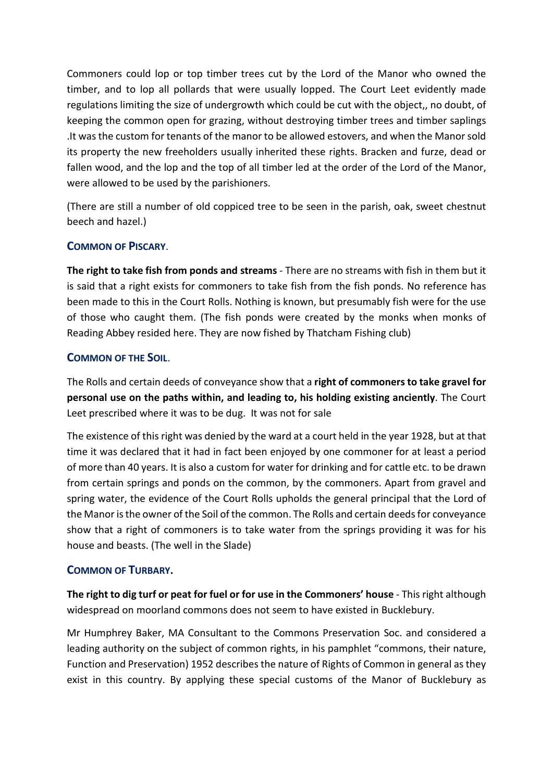Commoners could lop or top timber trees cut by the Lord of the Manor who owned the timber, and to lop all pollards that were usually lopped. The Court Leet evidently made regulations limiting the size of undergrowth which could be cut with the object,, no doubt, of keeping the common open for grazing, without destroying timber trees and timber saplings .It was the custom for tenants of the manor to be allowed estovers, and when the Manor sold its property the new freeholders usually inherited these rights. Bracken and furze, dead or fallen wood, and the lop and the top of all timber led at the order of the Lord of the Manor, were allowed to be used by the parishioners.

(There are still a number of old coppiced tree to be seen in the parish, oak, sweet chestnut beech and hazel.)

#### **COMMON OF PISCARY**.

**The right to take fish from ponds and streams** - There are no streams with fish in them but it is said that a right exists for commoners to take fish from the fish ponds. No reference has been made to this in the Court Rolls. Nothing is known, but presumably fish were for the use of those who caught them. (The fish ponds were created by the monks when monks of Reading Abbey resided here. They are now fished by Thatcham Fishing club)

#### **COMMON OF THE SOIL**.

The Rolls and certain deeds of conveyance show that a **right of commoners to take gravel for personal use on the paths within, and leading to, his holding existing anciently**. The Court Leet prescribed where it was to be dug. It was not for sale

The existence of this right was denied by the ward at a court held in the year 1928, but at that time it was declared that it had in fact been enjoyed by one commoner for at least a period of more than 40 years. It is also a custom for water for drinking and for cattle etc. to be drawn from certain springs and ponds on the common, by the commoners. Apart from gravel and spring water, the evidence of the Court Rolls upholds the general principal that the Lord of the Manor is the owner of the Soil of the common. The Rolls and certain deeds for conveyance show that a right of commoners is to take water from the springs providing it was for his house and beasts. (The well in the Slade)

#### **COMMON OF TURBARY.**

**The right to dig turf or peat for fuel or for use in the Commoners' house** - This right although widespread on moorland commons does not seem to have existed in Bucklebury.

Mr Humphrey Baker, MA Consultant to the Commons Preservation Soc. and considered a leading authority on the subject of common rights, in his pamphlet "commons, their nature, Function and Preservation) 1952 describes the nature of Rights of Common in general as they exist in this country. By applying these special customs of the Manor of Bucklebury as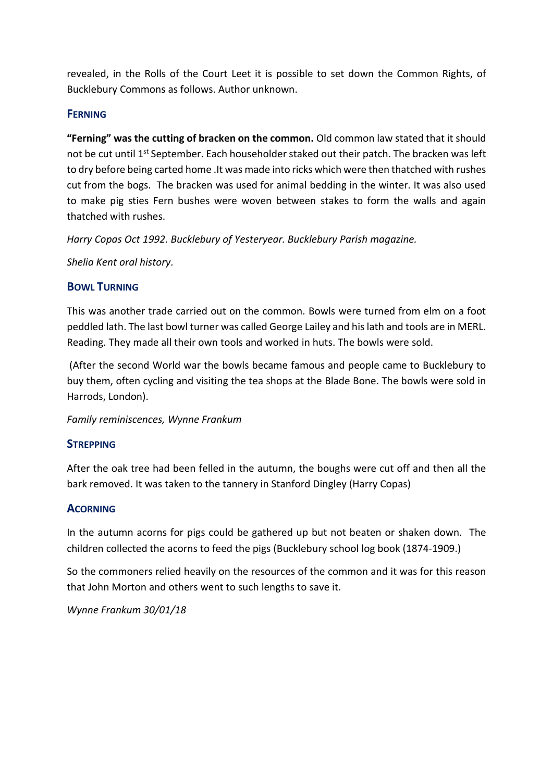revealed, in the Rolls of the Court Leet it is possible to set down the Common Rights, of Bucklebury Commons as follows. Author unknown.

#### **FERNING**

**"Ferning" was the cutting of bracken on the common.** Old common law stated that it should not be cut until 1<sup>st</sup> September. Each householder staked out their patch. The bracken was left to dry before being carted home .It was made into ricks which were then thatched with rushes cut from the bogs. The bracken was used for animal bedding in the winter. It was also used to make pig sties Fern bushes were woven between stakes to form the walls and again thatched with rushes.

*Harry Copas Oct 1992. Bucklebury of Yesteryear. Bucklebury Parish magazine.*

*Shelia Kent oral history.*

#### **BOWL TURNING**

This was another trade carried out on the common. Bowls were turned from elm on a foot peddled lath. The last bowl turner was called George Lailey and his lath and tools are in MERL. Reading. They made all their own tools and worked in huts. The bowls were sold.

(After the second World war the bowls became famous and people came to Bucklebury to buy them, often cycling and visiting the tea shops at the Blade Bone. The bowls were sold in Harrods, London).

*Family reminiscences, Wynne Frankum*

#### **STREPPING**

After the oak tree had been felled in the autumn, the boughs were cut off and then all the bark removed. It was taken to the tannery in Stanford Dingley (Harry Copas)

#### **ACORNING**

In the autumn acorns for pigs could be gathered up but not beaten or shaken down. The children collected the acorns to feed the pigs (Bucklebury school log book (1874-1909.)

So the commoners relied heavily on the resources of the common and it was for this reason that John Morton and others went to such lengths to save it.

*Wynne Frankum 30/01/18*